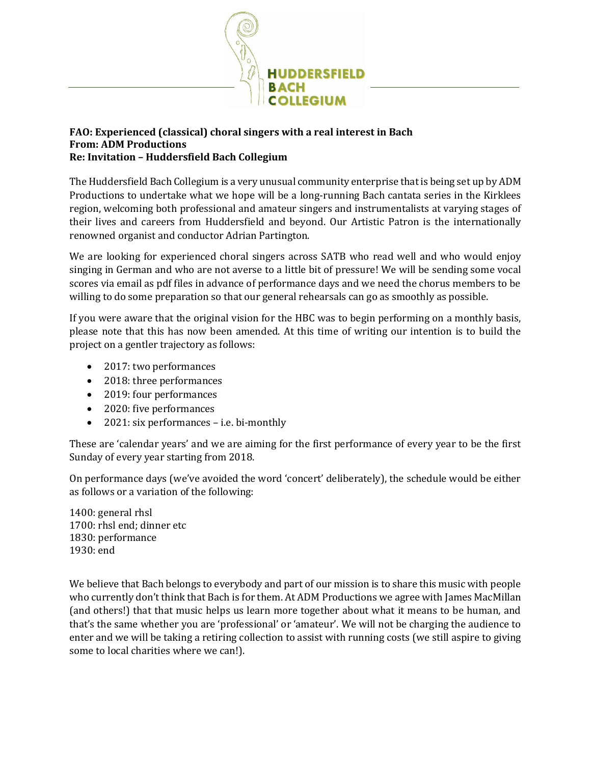

## **FAO: Experienced (classical) choral singers with a real interest in Bach From: ADM Productions Re: Invitation – Huddersfield Bach Collegium**

The Huddersfield Bach Collegium is a very unusual community enterprise that is being set up by ADM Productions to undertake what we hope will be a long-running Bach cantata series in the Kirklees region, welcoming both professional and amateur singers and instrumentalists at varying stages of their lives and careers from Huddersfield and beyond. Our Artistic Patron is the internationally renowned organist and conductor Adrian Partington.

We are looking for experienced choral singers across SATB who read well and who would enjoy singing in German and who are not averse to a little bit of pressure! We will be sending some vocal scores via email as pdf files in advance of performance days and we need the chorus members to be willing to do some preparation so that our general rehearsals can go as smoothly as possible.

If you were aware that the original vision for the HBC was to begin performing on a monthly basis, please note that this has now been amended. At this time of writing our intention is to build the project on a gentler trajectory as follows:

- 2017: two performances
- 2018: three performances
- 2019: four performances
- 2020: five performances
- 2021: six performances i.e. bi-monthly

These are 'calendar years' and we are aiming for the first performance of every year to be the first Sunday of every year starting from 2018.

On performance days (we've avoided the word 'concert' deliberately), the schedule would be either as follows or a variation of the following:

1400: general rhsl 1700: rhsl end; dinner etc 1830: performance 1930: end

We believe that Bach belongs to everybody and part of our mission is to share this music with people who currently don't think that Bach is for them. At ADM Productions we agree with James MacMillan (and others!) that that music helps us learn more together about what it means to be human, and that's the same whether you are 'professional' or 'amateur'. We will not be charging the audience to enter and we will be taking a retiring collection to assist with running costs (we still aspire to giving some to local charities where we can!).